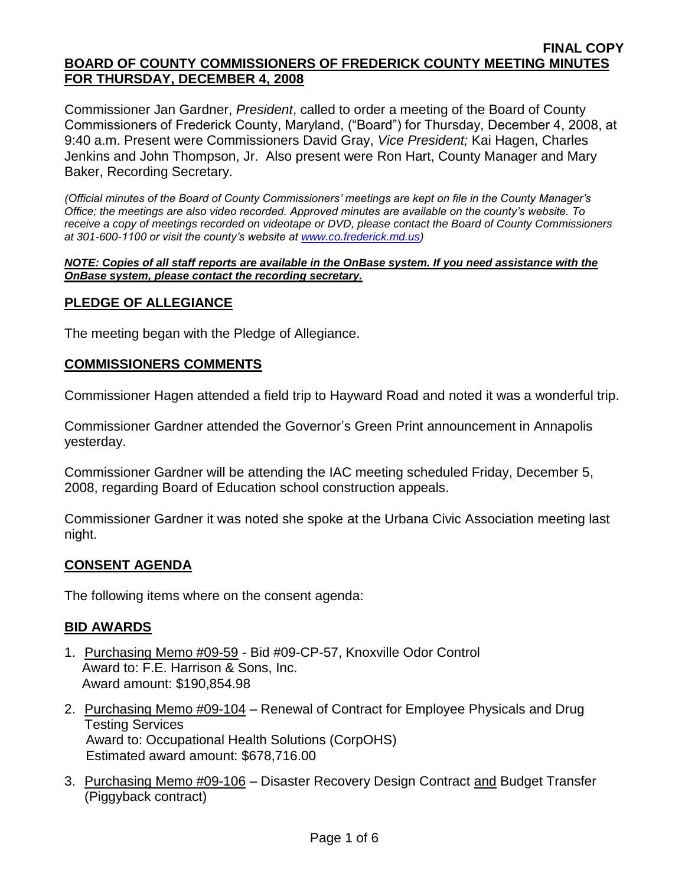Commissioner Jan Gardner, *President*, called to order a meeting of the Board of County Commissioners of Frederick County, Maryland, ("Board") for Thursday, December 4, 2008, at 9:40 a.m. Present were Commissioners David Gray, *Vice President;* Kai Hagen, Charles Jenkins and John Thompson, Jr. Also present were Ron Hart, County Manager and Mary Baker, Recording Secretary.

*(Official minutes of the Board of County Commissioners' meetings are kept on file in the County Manager's Office; the meetings are also video recorded. Approved minutes are available on the county's website. To receive a copy of meetings recorded on videotape or DVD, please contact the Board of County Commissioners at 301-600-1100 or visit the county's website at [www.co.frederick.md.us\)](http://www.co.frederick.md.us/)*

#### *NOTE: Copies of all staff reports are available in the OnBase system. If you need assistance with the OnBase system, please contact the recording secretary.*

## **PLEDGE OF ALLEGIANCE**

The meeting began with the Pledge of Allegiance.

## **COMMISSIONERS COMMENTS**

Commissioner Hagen attended a field trip to Hayward Road and noted it was a wonderful trip.

Commissioner Gardner attended the Governor's Green Print announcement in Annapolis yesterday.

Commissioner Gardner will be attending the IAC meeting scheduled Friday, December 5, 2008, regarding Board of Education school construction appeals.

Commissioner Gardner it was noted she spoke at the Urbana Civic Association meeting last night.

## **CONSENT AGENDA**

The following items where on the consent agenda:

## **BID AWARDS**

- 1. Purchasing Memo #09-59 Bid #09-CP-57, Knoxville Odor Control Award to: F.E. Harrison & Sons, Inc. Award amount: \$190,854.98
- 2. Purchasing Memo #09-104 Renewal of Contract for Employee Physicals and Drug Testing Services Award to: Occupational Health Solutions (CorpOHS) Estimated award amount: \$678,716.00
- 3. Purchasing Memo #09-106 Disaster Recovery Design Contract and Budget Transfer (Piggyback contract)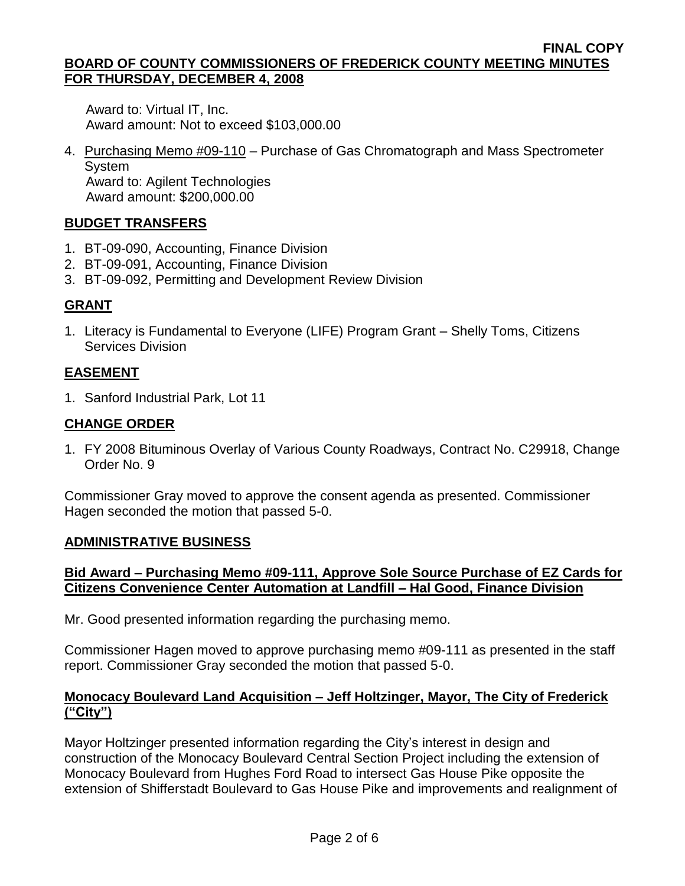Award to: Virtual IT, Inc. Award amount: Not to exceed \$103,000.00

4. Purchasing Memo #09-110 – Purchase of Gas Chromatograph and Mass Spectrometer **System**  Award to: Agilent Technologies Award amount: \$200,000.00

# **BUDGET TRANSFERS**

- 1. BT-09-090, Accounting, Finance Division
- 2. BT-09-091, Accounting, Finance Division
- 3. BT-09-092, Permitting and Development Review Division

## **GRANT**

1. Literacy is Fundamental to Everyone (LIFE) Program Grant – Shelly Toms, Citizens Services Division

## **EASEMENT**

1. Sanford Industrial Park, Lot 11

## **CHANGE ORDER**

1. FY 2008 Bituminous Overlay of Various County Roadways, Contract No. C29918, Change Order No. 9

Commissioner Gray moved to approve the consent agenda as presented. Commissioner Hagen seconded the motion that passed 5-0.

## **ADMINISTRATIVE BUSINESS**

# **Bid Award – Purchasing Memo #09-111, Approve Sole Source Purchase of EZ Cards for Citizens Convenience Center Automation at Landfill – Hal Good, Finance Division**

Mr. Good presented information regarding the purchasing memo.

Commissioner Hagen moved to approve purchasing memo #09-111 as presented in the staff report. Commissioner Gray seconded the motion that passed 5-0.

## **Monocacy Boulevard Land Acquisition – Jeff Holtzinger, Mayor, The City of Frederick ("City")**

Mayor Holtzinger presented information regarding the City's interest in design and construction of the Monocacy Boulevard Central Section Project including the extension of Monocacy Boulevard from Hughes Ford Road to intersect Gas House Pike opposite the extension of Shifferstadt Boulevard to Gas House Pike and improvements and realignment of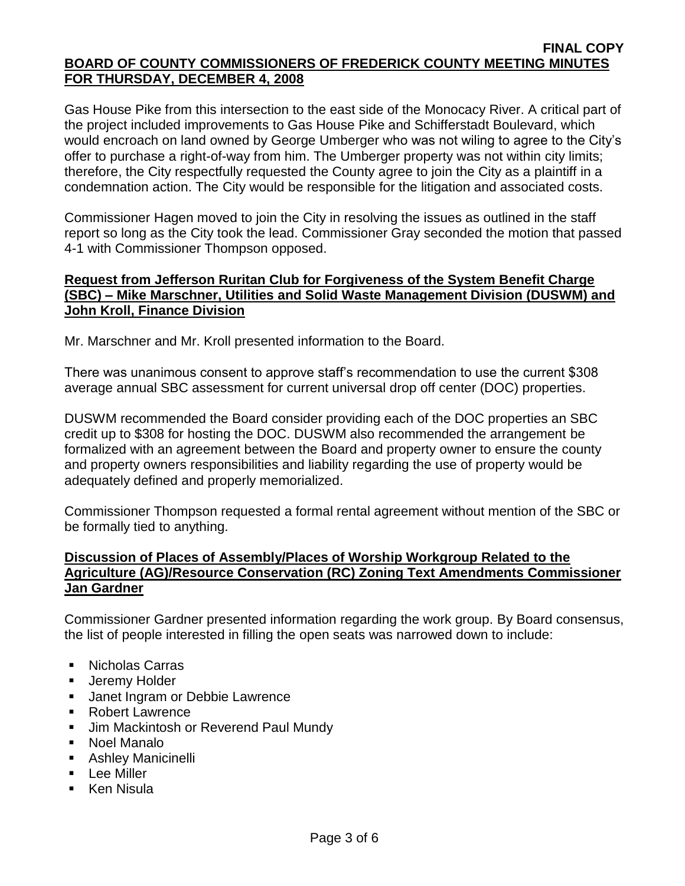Gas House Pike from this intersection to the east side of the Monocacy River. A critical part of the project included improvements to Gas House Pike and Schifferstadt Boulevard, which would encroach on land owned by George Umberger who was not wiling to agree to the City's offer to purchase a right-of-way from him. The Umberger property was not within city limits; therefore, the City respectfully requested the County agree to join the City as a plaintiff in a condemnation action. The City would be responsible for the litigation and associated costs.

Commissioner Hagen moved to join the City in resolving the issues as outlined in the staff report so long as the City took the lead. Commissioner Gray seconded the motion that passed 4-1 with Commissioner Thompson opposed.

## **Request from Jefferson Ruritan Club for Forgiveness of the System Benefit Charge (SBC) – Mike Marschner, Utilities and Solid Waste Management Division (DUSWM) and John Kroll, Finance Division**

Mr. Marschner and Mr. Kroll presented information to the Board.

There was unanimous consent to approve staff's recommendation to use the current \$308 average annual SBC assessment for current universal drop off center (DOC) properties.

DUSWM recommended the Board consider providing each of the DOC properties an SBC credit up to \$308 for hosting the DOC. DUSWM also recommended the arrangement be formalized with an agreement between the Board and property owner to ensure the county and property owners responsibilities and liability regarding the use of property would be adequately defined and properly memorialized.

Commissioner Thompson requested a formal rental agreement without mention of the SBC or be formally tied to anything.

## **Discussion of Places of Assembly/Places of Worship Workgroup Related to the Agriculture (AG)/Resource Conservation (RC) Zoning Text Amendments Commissioner Jan Gardner**

Commissioner Gardner presented information regarding the work group. By Board consensus, the list of people interested in filling the open seats was narrowed down to include:

- Nicholas Carras
- **Jeremy Holder**
- **Janet Ingram or Debbie Lawrence**
- Robert Lawrence
- Jim Mackintosh or Reverend Paul Mundy
- Noel Manalo
- **Ashley Manicinelli**
- **Lee Miller**
- Ken Nisula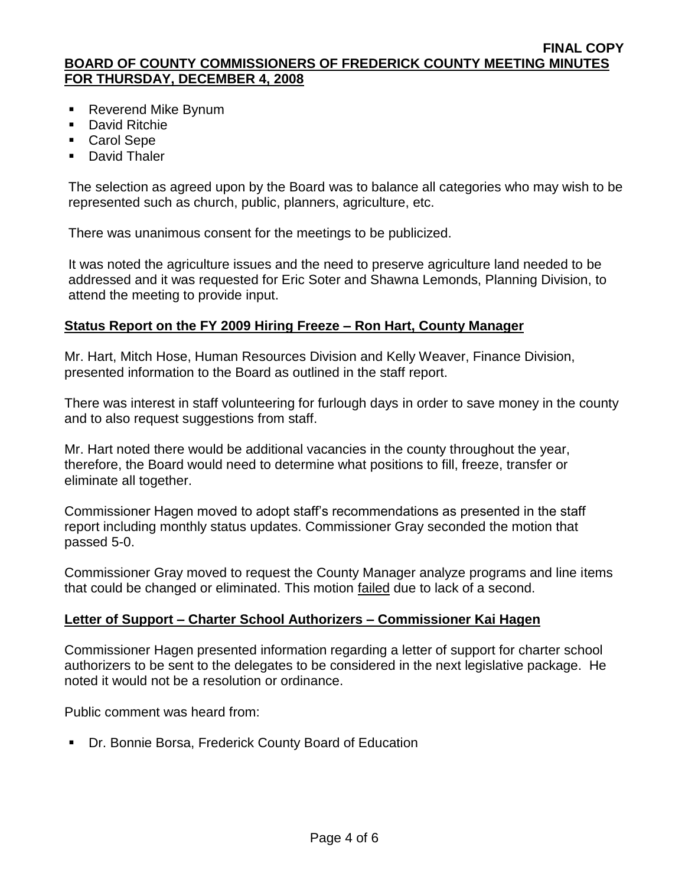- Reverend Mike Bynum
- **David Ritchie**
- Carol Sepe
- **David Thaler**

The selection as agreed upon by the Board was to balance all categories who may wish to be represented such as church, public, planners, agriculture, etc.

There was unanimous consent for the meetings to be publicized.

It was noted the agriculture issues and the need to preserve agriculture land needed to be addressed and it was requested for Eric Soter and Shawna Lemonds, Planning Division, to attend the meeting to provide input.

# **Status Report on the FY 2009 Hiring Freeze – Ron Hart, County Manager**

Mr. Hart, Mitch Hose, Human Resources Division and Kelly Weaver, Finance Division, presented information to the Board as outlined in the staff report.

There was interest in staff volunteering for furlough days in order to save money in the county and to also request suggestions from staff.

Mr. Hart noted there would be additional vacancies in the county throughout the year, therefore, the Board would need to determine what positions to fill, freeze, transfer or eliminate all together.

Commissioner Hagen moved to adopt staff's recommendations as presented in the staff report including monthly status updates. Commissioner Gray seconded the motion that passed 5-0.

Commissioner Gray moved to request the County Manager analyze programs and line items that could be changed or eliminated. This motion failed due to lack of a second.

# **Letter of Support – Charter School Authorizers – Commissioner Kai Hagen**

Commissioner Hagen presented information regarding a letter of support for charter school authorizers to be sent to the delegates to be considered in the next legislative package. He noted it would not be a resolution or ordinance.

Public comment was heard from:

Dr. Bonnie Borsa, Frederick County Board of Education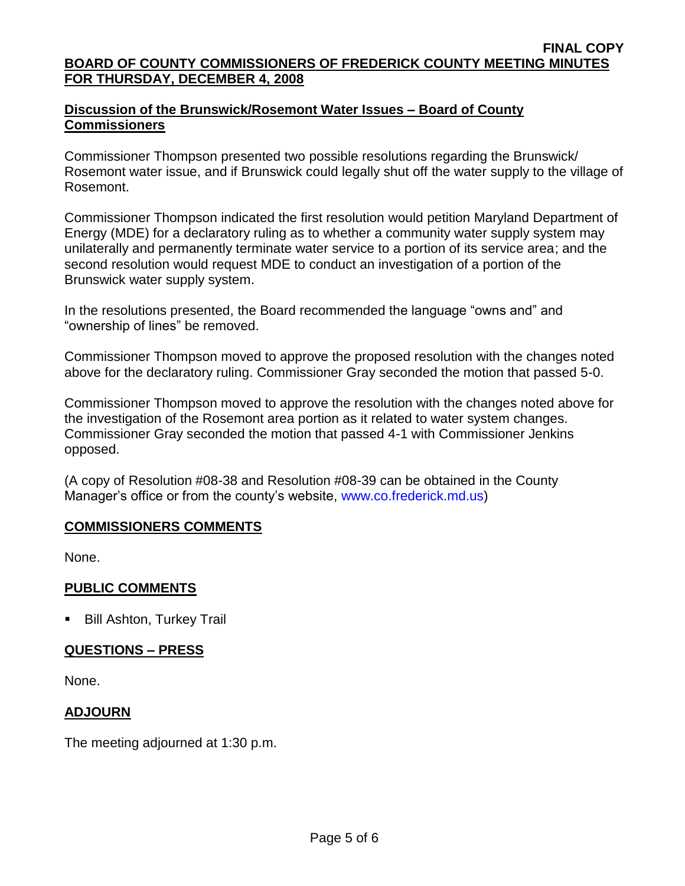## **Discussion of the Brunswick/Rosemont Water Issues – Board of County Commissioners**

Commissioner Thompson presented two possible resolutions regarding the Brunswick/ Rosemont water issue, and if Brunswick could legally shut off the water supply to the village of Rosemont.

Commissioner Thompson indicated the first resolution would petition Maryland Department of Energy (MDE) for a declaratory ruling as to whether a community water supply system may unilaterally and permanently terminate water service to a portion of its service area; and the second resolution would request MDE to conduct an investigation of a portion of the Brunswick water supply system.

In the resolutions presented, the Board recommended the language "owns and" and "ownership of lines" be removed.

Commissioner Thompson moved to approve the proposed resolution with the changes noted above for the declaratory ruling. Commissioner Gray seconded the motion that passed 5-0.

Commissioner Thompson moved to approve the resolution with the changes noted above for the investigation of the Rosemont area portion as it related to water system changes. Commissioner Gray seconded the motion that passed 4-1 with Commissioner Jenkins opposed.

(A copy of Resolution #08-38 and Resolution #08-39 can be obtained in the County Manager's office or from the county's website, [www.co.frederick.md.us\)](www.co.frederick.md.us)

# **COMMISSIONERS COMMENTS**

None.

## **PUBLIC COMMENTS**

**Bill Ashton, Turkey Trail** 

# **QUESTIONS – PRESS**

None.

## **ADJOURN**

The meeting adjourned at 1:30 p.m.